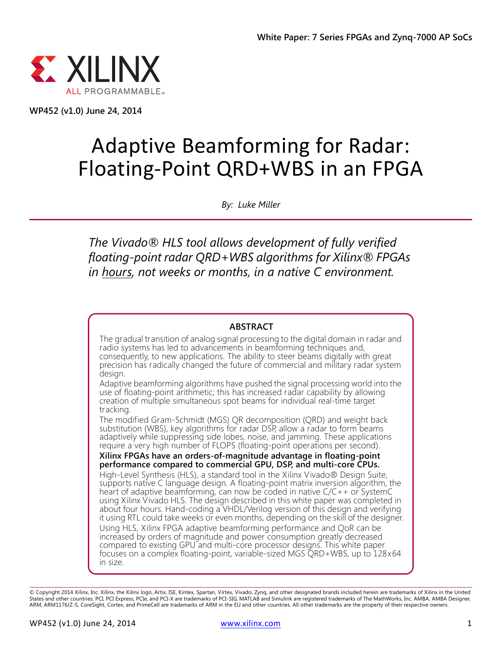

**WP452 (v1.0) June 24, 2014**

# Adaptive Beamforming for Radar: Floating-Point QRD+WBS in an FPGA

*By: Luke Miller*

*The Vivado® HLS tool allows development of fully verified floating-point radar QRD+WBS algorithms for Xilinx® FPGAs in hours, not weeks or months, in a native C environment.*

#### **ABSTRACT**

The gradual transition of analog signal processing to the digital domain in radar and radio systems has led to advancements in beamforming techniques and, consequently, to new applications. The ability to steer beams digitally with great precision has radically changed the future of commercial and military radar system design.

Adaptive beamforming algorithms have pushed the signal processing world into the use of floating-point arithmetic; this has increased radar capability by allowing creation of multiple simultaneous spot beams for individual real-time target tracking.

The modified Gram-Schmidt (MGS) QR decomposition (QRD) and weight back substitution (WBS), key algorithms for radar DSP, allow a radar to form beams adaptively while suppressing side lobes, noise, and jamming. These applications require a very high number of FLOPS (floating-point operations per second).

**Xilinx FPGAs have an orders-of-magnitude advantage in floating-point performance compared to commercial GPU, DSP, and multi-core CPUs.** High-Level Synthesis (HLS), a standard tool in the Xilinx Vivado® Design Suite, supports native C language design. A floating-point matrix inversion algorithm, the heart of adaptive beamforming, can now be coded in native C/C++ or SystemC using Xilinx Vivado HLS. The design described in this white paper was completed in about four hours. Hand-coding a VHDL/Verilog version of this design and verifying it using RTL could take weeks or even months, depending on the skill of the designer. Using HLS, Xilinx FPGA adaptive beamforming performance and QoR can be increased by orders of magnitude and power consumption greatly decreased compared to existing GPU and multi-core processor designs. This white paper focuses on a complex floating-point, variable-sized MGS QRD+WBS, up to 128x64 in size.

© Copyright 2014 Xilinx, Inc. Xilinx, the Xilinx logo, Artix, ISE, Kintex, Spartan, Virtex, Vivado, Zynq, and other designated brands included herein are trademarks of Xilinx in the United States and other countries. PCI, PCI Express, PCIe, and PCI-X are trademarks of PCI-SIG. MATLAB and Simulink are registered trademarks of The MathWorks, Inc. AMBA, AMBA Designer, ARM, ARM1176JZ-S, CoreSight, Cortex, and PrimeCell are trademarks of ARM in the EU and other countries. All other trademarks are the property of their respective owners.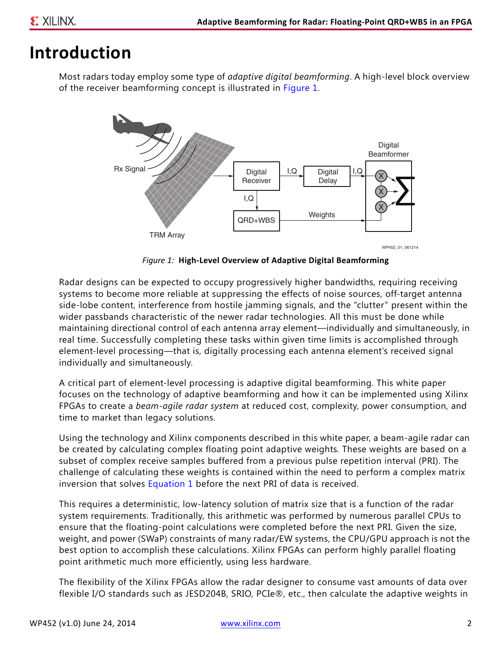### **Introduction**

<span id="page-1-0"></span>Most radars today employ some type of *adaptive digital beamforming*. A high-level block overview of the receiver beamforming concept is illustrated in [Figure 1.](#page-1-0)



*Figure 1:* **High-Level Overview of Adaptive Digital Beamforming**

Radar designs can be expected to occupy progressively higher bandwidths, requiring receiving systems to become more reliable at suppressing the effects of noise sources, off-target antenna side-lobe content, interference from hostile jamming signals, and the "clutter" present within the wider passbands characteristic of the newer radar technologies. All this must be done while maintaining directional control of each antenna array element—individually and simultaneously, in real time. Successfully completing these tasks within given time limits is accomplished through element-level processing—that is, digitally processing each antenna element's received signal individually and simultaneously.

A critical part of element-level processing is adaptive digital beamforming. This white paper focuses on the technology of adaptive beamforming and how it can be implemented using Xilinx FPGAs to create a *beam-agile radar system* at reduced cost, complexity, power consumption, and time to market than legacy solutions.

Using the technology and Xilinx components described in this white paper, a beam-agile radar can be created by calculating complex floating point adaptive weights*.* These weights are based on a subset of complex receive samples buffered from a previous pulse repetition interval (PRI). The challenge of calculating these weights is contained within the need to perform a complex matrix inversion that solves [Equation 1](#page-2-0) before the next PRI of data is received.

This requires a deterministic, low-latency solution of matrix size that is a function of the radar system requirements. Traditionally, this arithmetic was performed by numerous parallel CPUs to ensure that the floating-point calculations were completed before the next PRI. Given the size, weight, and power (SWaP) constraints of many radar/EW systems, the CPU/GPU approach is not the best option to accomplish these calculations. Xilinx FPGAs can perform highly parallel floating point arithmetic much more efficiently, using less hardware.

The flexibility of the Xilinx FPGAs allow the radar designer to consume vast amounts of data over flexible I/O standards such as JESD204B, SRIO, PCIe®, etc., then calculate the adaptive weights in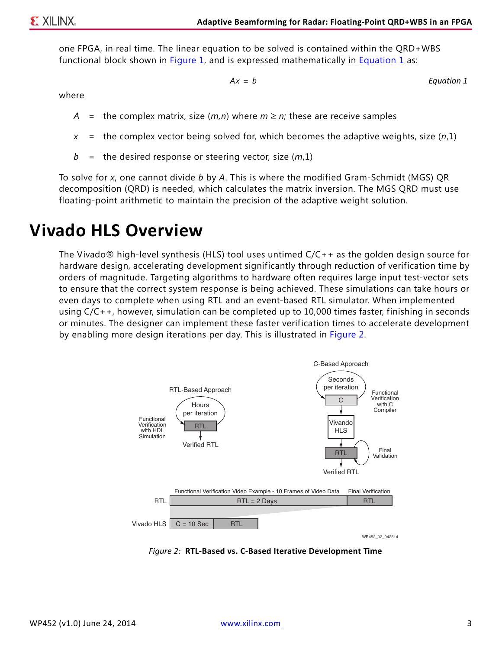one FPGA, in real time. The linear equation to be solved is contained within the QRD+WBS functional block shown in [Figure 1](#page-1-0), and is expressed mathematically in [Equation 1](#page-2-0) as:

$$
= b
$$

*Equation 1*

<span id="page-2-0"></span>where

*A* = the complex matrix, size  $(m, n)$  where  $m \ge n$ ; these are receive samples

*Ax b* =

- *x* = the complex vector being solved for, which becomes the adaptive weights, size (*n*,1)
- *b* = the desired response or steering vector, size (*m*,1)

To solve for *x*, one cannot divide *b* by *A*. This is where the modified Gram-Schmidt (MGS) QR decomposition (QRD) is needed, which calculates the matrix inversion. The MGS QRD must use floating-point arithmetic to maintain the precision of the adaptive weight solution.

### **Vivado HLS Overview**

The Vivado $\otimes$  high-level synthesis (HLS) tool uses untimed  $C/C++$  as the golden design source for hardware design, accelerating development significantly through reduction of verification time by orders of magnitude. Targeting algorithms to hardware often requires large input test-vector sets to ensure that the correct system response is being achieved. These simulations can take hours or even days to complete when using RTL and an event-based RTL simulator. When implemented using C/C++, however, simulation can be completed up to 10,000 times faster, finishing in seconds or minutes. The designer can implement these faster verification times to accelerate development by enabling more design iterations per day. This is illustrated in [Figure 2](#page-2-1).

<span id="page-2-1"></span>

*Figure 2:* **RTL-Based vs. C-Based Iterative Development Time**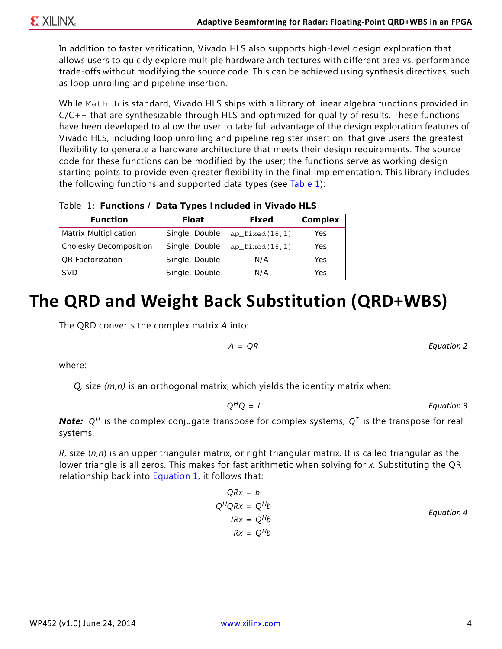In addition to faster verification, Vivado HLS also supports high-level design exploration that allows users to quickly explore multiple hardware architectures with different area vs. performance trade-offs without modifying the source code. This can be achieved using synthesis directives, such as loop unrolling and pipeline insertion.

While Math.h is standard, Vivado HLS ships with a library of linear algebra functions provided in  $C/C++$  that are synthesizable through HLS and optimized for quality of results. These functions have been developed to allow the user to take full advantage of the design exploration features of Vivado HLS, including loop unrolling and pipeline register insertion, that give users the greatest flexibility to generate a hardware architecture that meets their design requirements. The source code for these functions can be modified by the user; the functions serve as working design starting points to provide even greater flexibility in the final implementation. This library includes the following functions and supported data types (see [Table 1\)](#page-3-0):

<span id="page-3-0"></span>*Table 1:* **Functions / Data Types Included in Vivado HLS**

| <b>Function</b>         | <b>Float</b>   | Fixed             | <b>Complex</b> |
|-------------------------|----------------|-------------------|----------------|
| Matrix Multiplication   | Single, Double | $ap\_fixed(16,1)$ | Yes            |
| Cholesky Decomposition  | Single, Double | $ap\_fixed(16,1)$ | Yes            |
| <b>QR</b> Factorization | Single, Double | N/A               | Yes            |
| <b>SVD</b>              | Single, Double | N/A               | Yes            |

## **The QRD and Weight Back Substitution (QRD+WBS)**

The QRD converts the complex matrix *A* into:

$$
A = QR
$$

where:

*Q,* size *(m,n)* is an orthogonal matrix, which yields the identity matrix when:

$$
Q^H Q = I
$$
 *Equation 3*

*Note:*  $Q^H$  is the complex conjugate transpose for complex systems;  $Q^T$  is the transpose for real  $\blacksquare$ systems.

*R*, size (*n,n*) is an upper triangular matrix, or right triangular matrix. It is called triangular as the lower triangle is all zeros. This makes for fast arithmetic when solving for *x.* Substituting the QR relationship back into [Equation 1,](#page-2-0) it follows that:

$$
QRx = b
$$
  
\n
$$
Q^{H}QRx = Q^{H}b
$$
  
\n
$$
IRx = Q^{H}b
$$
  
\n
$$
Rx = Q^{H}b
$$
  
\n
$$
Rx = Q^{H}b
$$
  
\nEquation 4

*Equation 2*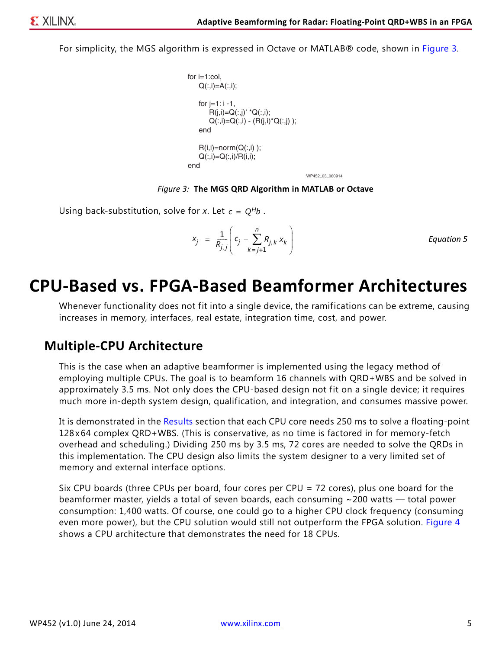<span id="page-4-0"></span>For simplicity, the MGS algorithm is expressed in Octave or MATLAB® code, shown in [Figure 3](#page-4-0).

```
WP452_03_060914
for i=1:col.
    Q(:,i)=A(:,i);for j = 1: i - 1,
        R(j,i)=Q(:,j)' ^*Q(:,i);Q(:,i) = Q(:,i) - (R(j,i)^*Q(:,j));
     end
    R(i,i)=norm(Q(:,i));
    Q(:,i)=Q(:,i)/R(i,i);end
```
*Figure 3:* **The MGS QRD Algorithm in MATLAB or Octave**

Using back-substitution, solve for *x*. Let  $c = Q^H b$ .

$$
x_j = \frac{1}{R_{j,j}} \left( c_j - \sum_{k=j+1}^n R_{j,k} x_k \right)
$$
 *Equation 5*

### **CPU-Based vs. FPGA-Based Beamformer Architectures**

Whenever functionality does not fit into a single device, the ramifications can be extreme, causing increases in memory, interfaces, real estate, integration time, cost, and power.

### <span id="page-4-1"></span>**Multiple-CPU Architecture**

This is the case when an adaptive beamformer is implemented using the legacy method of employing multiple CPUs. The goal is to beamform 16 channels with QRD+WBS and be solved in approximately 3.5 ms. Not only does the CPU-based design not fit on a single device; it requires much more in-depth system design, qualification, and integration, and consumes massive power.

It is demonstrated in the [Results](#page-9-0) section that each CPU core needs 250 ms to solve a floating-point 128x64 complex QRD+WBS. (This is conservative, as no time is factored in for memory-fetch overhead and scheduling.) Dividing 250 ms by 3.5 ms, 72 cores are needed to solve the QRDs in this implementation. The CPU design also limits the system designer to a very limited set of memory and external interface options.

Six CPU boards (three CPUs per board, four cores per CPU = 72 cores), plus one board for the beamformer master, yields a total of seven boards, each consuming ~200 watts — total power consumption: 1,400 watts. Of course, one could go to a higher CPU clock frequency (consuming even more power), but the CPU solution would still not outperform the FPGA solution. [Figure 4](#page-5-0) shows a CPU architecture that demonstrates the need for 18 CPUs.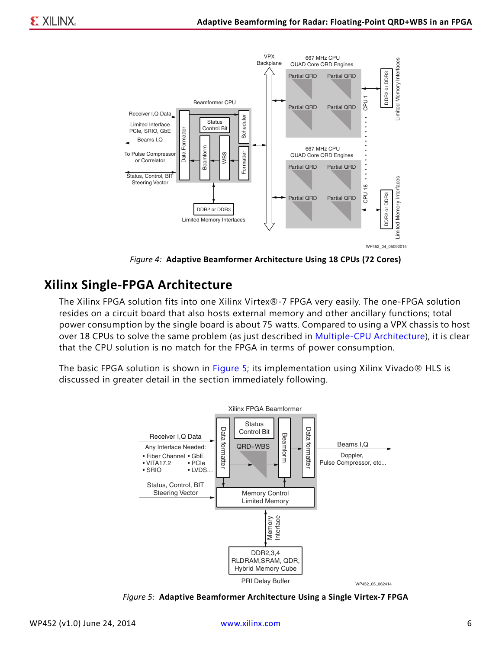<span id="page-5-0"></span>

*Figure 4:* **Adaptive Beamformer Architecture Using 18 CPUs (72 Cores)**

### **Xilinx Single-FPGA Architecture**

The Xilinx FPGA solution fits into one Xilinx Virtex®-7 FPGA very easily. The one-FPGA solution resides on a circuit board that also hosts external memory and other ancillary functions; total power consumption by the single board is about 75 watts. Compared to using a VPX chassis to host over 18 CPUs to solve the same problem (as just described in [Multiple-CPU Architecture\)](#page-4-1), it is clear that the CPU solution is no match for the FPGA in terms of power consumption.

<span id="page-5-1"></span>The basic FPGA solution is shown in [Figure 5;](#page-5-1) its implementation using Xilinx Vivado® HLS is discussed in greater detail in the section immediately following.



*Figure 5:* **Adaptive Beamformer Architecture Using a Single Virtex-7 FPGA**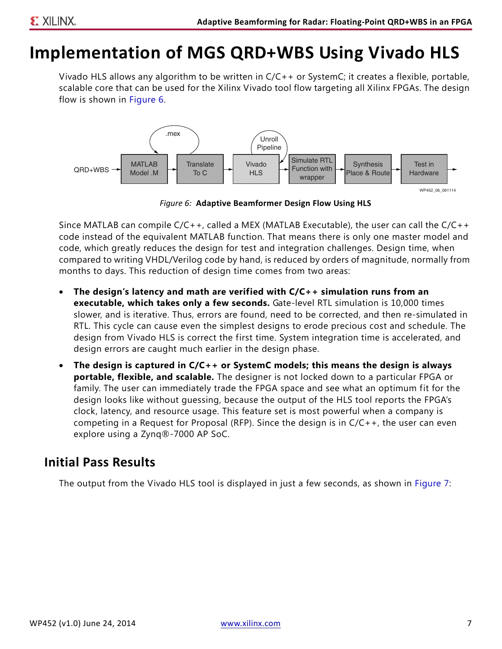## **Implementation of MGS QRD+WBS Using Vivado HLS**

Vivado HLS allows any algorithm to be written in C/C++ or SystemC; it creates a flexible, portable, scalable core that can be used for the Xilinx Vivado tool flow targeting all Xilinx FPGAs. The design flow is shown in [Figure 6.](#page-6-0)

<span id="page-6-0"></span>

*Figure 6:* **Adaptive Beamformer Design Flow Using HLS**

Since MATLAB can compile C/C++, called a MEX (MATLAB Executable), the user can call the C/C++ code instead of the equivalent MATLAB function. That means there is only one master model and code, which greatly reduces the design for test and integration challenges. Design time, when compared to writing VHDL/Verilog code by hand, is reduced by orders of magnitude, normally from months to days. This reduction of design time comes from two areas:

- **The design's latency and math are verified with C/C++ simulation runs from an executable, which takes only a few seconds.** Gate-level RTL simulation is 10,000 times slower, and is iterative. Thus, errors are found, need to be corrected, and then re-simulated in RTL. This cycle can cause even the simplest designs to erode precious cost and schedule. The design from Vivado HLS is correct the first time. System integration time is accelerated, and design errors are caught much earlier in the design phase.
- **The design is captured in C/C++ or SystemC models; this means the design is always portable, flexible, and scalable.** The designer is not locked down to a particular FPGA or family. The user can immediately trade the FPGA space and see what an optimum fit for the design looks like without guessing, because the output of the HLS tool reports the FPGA's clock, latency, and resource usage. This feature set is most powerful when a company is competing in a Request for Proposal (RFP). Since the design is in C/C++, the user can even explore using a Zynq®-7000 AP SoC.

### **Initial Pass Results**

The output from the Vivado HLS tool is displayed in just a few seconds, as shown in [Figure 7:](#page-7-0)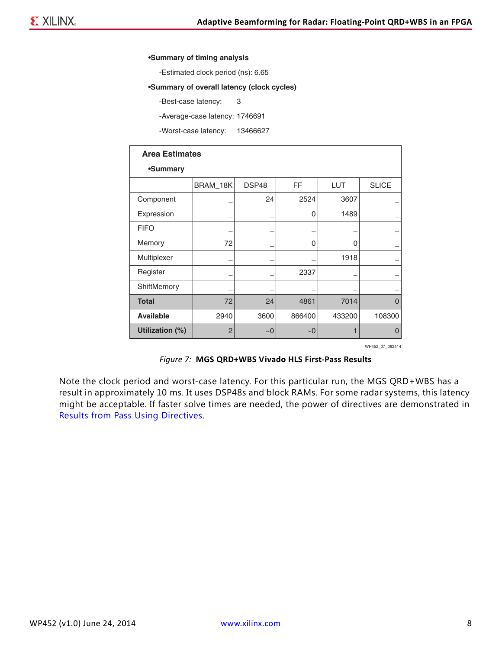#### <span id="page-7-0"></span>**•Summary of timing analysis**

-Estimated clock period (ns): 6.65

#### **•Summary of overall latency (clock cycles)**

-Best-case latency: 3

-Average-case latency: 1746691

-Worst-case latency: 13466627

| <b>Area Estimates</b> |                 |       |        |            |              |
|-----------------------|-----------------|-------|--------|------------|--------------|
| •Summary              |                 |       |        |            |              |
|                       | <b>BRAM_18K</b> | DSP48 | FF     | <b>LUT</b> | <b>SLICE</b> |
| Component             |                 | 24    | 2524   | 3607       |              |
| Expression            |                 |       | 0      | 1489       |              |
| <b>FIFO</b>           |                 |       |        |            |              |
| Memory                | 72              |       | 0      | 0          |              |
| Multiplexer           |                 |       |        | 1918       |              |
| Register              |                 |       | 2337   |            |              |
| ShiftMemory           |                 |       |        |            |              |
| <b>Total</b>          | 72              | 24    | 4861   | 7014       | $\Omega$     |
| <b>Available</b>      | 2940            | 3600  | 866400 | 433200     | 108300       |
| Utilization (%)       | $\overline{2}$  | ~10   | ~1     |            | $\Omega$     |

WP452\_07\_062414

#### *Figure 7:* **MGS QRD+WBS Vivado HLS First-Pass Results**

Note the clock period and worst-case latency. For this particular run, the MGS QRD+WBS has a result in approximately 10 ms. It uses DSP48s and block RAMs. For some radar systems, this latency might be acceptable. If faster solve times are needed, the power of directives are demonstrated in [Results from Pass Using Directives.](#page-8-0)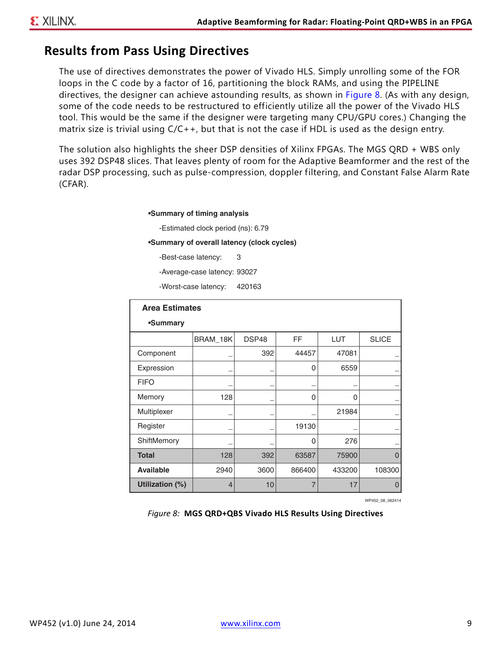### <span id="page-8-0"></span>**Results from Pass Using Directives**

The use of directives demonstrates the power of Vivado HLS. Simply unrolling some of the FOR loops in the C code by a factor of 16, partitioning the block RAMs, and using the PIPELINE directives, the designer can achieve astounding results, as shown in [Figure 8.](#page-8-1) (As with any design, some of the code needs to be restructured to efficiently utilize all the power of the Vivado HLS tool. This would be the same if the designer were targeting many CPU/GPU cores.) Changing the matrix size is trivial using C/C++, but that is not the case if HDL is used as the design entry.

<span id="page-8-1"></span>The solution also highlights the sheer DSP densities of Xilinx FPGAs. The MGS QRD + WBS only uses 392 DSP48 slices. That leaves plenty of room for the Adaptive Beamformer and the rest of the radar DSP processing, such as pulse-compression, doppler filtering, and Constant False Alarm Rate (CFAR).

**•Summary of timing analysis**

-Estimated clock period (ns): 6.79

**•Summary of overall latency (clock cycles)**

-Best-case latency: 3

-Average-case latency: 93027

-Worst-case latency: 420163

| <b>Area Estimates</b> |          |       |          |            |              |
|-----------------------|----------|-------|----------|------------|--------------|
| •Summary              |          |       |          |            |              |
|                       | BRAM_18K | DSP48 | FF       | <b>LUT</b> | <b>SLICE</b> |
| Component             |          | 392   | 44457    | 47081      |              |
| Expression            |          |       | 0        | 6559       |              |
| <b>FIFO</b>           |          |       |          |            |              |
| Memory                | 128      |       | 0        | 0          |              |
| Multiplexer           |          |       |          | 21984      |              |
| Register              |          |       | 19130    |            |              |
| ShiftMemory           |          |       | $\Omega$ | 276        |              |
| <b>Total</b>          | 128      | 392   | 63587    | 75900      | $\Omega$     |
| <b>Available</b>      | 2940     | 3600  | 866400   | 433200     | 108300       |
| Utilization (%)       | 4        | 10    | 7        | 17         | 0            |

WP452\_08\_062414

*Figure 8:* **MGS QRD+QBS Vivado HLS Results Using Directives**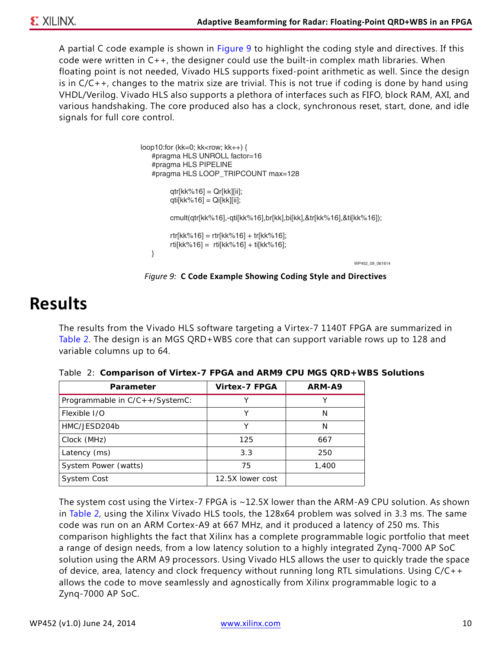A partial C code example is shown in [Figure 9](#page-9-2) to highlight the coding style and directives. If this code were written in C++, the designer could use the built-in complex math libraries. When floating point is not needed, Vivado HLS supports fixed-point arithmetic as well. Since the design is in C/C++, changes to the matrix size are trivial. This is not true if coding is done by hand using VHDL/Verilog. Vivado HLS also supports a plethora of interfaces such as FIFO, block RAM, AXI, and various handshaking. The core produced also has a clock, synchronous reset, start, done, and idle signals for full core control.

```
WP452_09_061614
loop10:for (kk=0; kk<row; kk++) {
    #pragma HLS UNROLL factor=16
    #pragma HLS PIPELINE
    #pragma HLS LOOP_TRIPCOUNT max=128
          qtr[kk%16] = Qr[kk][ii];
          qti[kk%16] = Qi[kk][ii];
          cmult(qtr[kk%16],-qti[kk%16],br[kk],bi[kk],&tr[kk%16],&ti[kk%16]);
          rtr[kk%16] = rtr[kk%16] + tr[kk%16];
          rti[kk%16] = rti[kk%16] + ti[kk%16];
    }
```
*Figure 9:* **C Code Example Showing Coding Style and Directives**

### <span id="page-9-0"></span>**Results**

The results from the Vivado HLS software targeting a Virtex-7 1140T FPGA are summarized in [Table 2](#page-9-1). The design is an MGS QRD+WBS core that can support variable rows up to 128 and variable columns up to 64.

| <b>Parameter</b>               | <b>Virtex-7 FPGA</b> | ARM-A9 |
|--------------------------------|----------------------|--------|
| Programmable in C/C++/SystemC: |                      |        |
| Flexible I/O                   |                      | N      |
| HMC/JESD204b                   |                      | N      |
| Clock (MHz)                    | 125                  | 667    |
| Latency (ms)                   | 3.3                  | 250    |
| System Power (watts)           | 75                   | 1,400  |
| System Cost                    | 12.5X lower cost     |        |

<span id="page-9-1"></span>*Table 2:* **Comparison of Virtex-7 FPGA and ARM9 CPU MGS QRD+WBS Solutions**

The system cost using the Virtex-7 FPGA is ~12.5X lower than the ARM-A9 CPU solution. As shown in [Table 2](#page-9-1), using the Xilinx Vivado HLS tools, the 128x64 problem was solved in 3.3 ms. The same code was run on an ARM Cortex-A9 at 667 MHz, and it produced a latency of 250 ms. This comparison highlights the fact that Xilinx has a complete programmable logic portfolio that meet a range of design needs, from a low latency solution to a highly integrated Zynq-7000 AP SoC solution using the ARM A9 processors. Using Vivado HLS allows the user to quickly trade the space of device, area, latency and clock frequency without running long RTL simulations. Using C/C++ allows the code to move seamlessly and agnostically from Xilinx programmable logic to a Zynq-7000 AP SoC.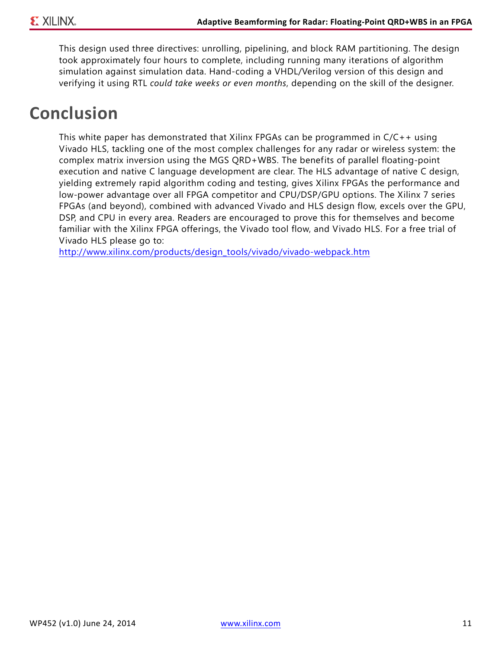This design used three directives: unrolling, pipelining, and block RAM partitioning. The design took approximately four hours to complete, including running many iterations of algorithm simulation against simulation data. Hand-coding a VHDL/Verilog version of this design and verifying it using RTL *could take weeks or even months*, depending on the skill of the designer.

## **Conclusion**

This white paper has demonstrated that Xilinx FPGAs can be programmed in C/C++ using Vivado HLS, tackling one of the most complex challenges for any radar or wireless system: the complex matrix inversion using the MGS QRD+WBS. The benefits of parallel floating-point execution and native C language development are clear. The HLS advantage of native C design, yielding extremely rapid algorithm coding and testing, gives Xilinx FPGAs the performance and low-power advantage over all FPGA competitor and CPU/DSP/GPU options. The Xilinx 7 series FPGAs (and beyond), combined with advanced Vivado and HLS design flow, excels over the GPU, DSP, and CPU in every area. Readers are encouraged to prove this for themselves and become familiar with the Xilinx FPGA offerings, the Vivado tool flow, and Vivado HLS. For a free trial of Vivado HLS please go to:

[http://www.xilinx.com/products/design\\_tools/vivado/vivado-webpack.htm](http://www.xilinx.com/products/design_tools/vivado/vivado-webpack.htm)